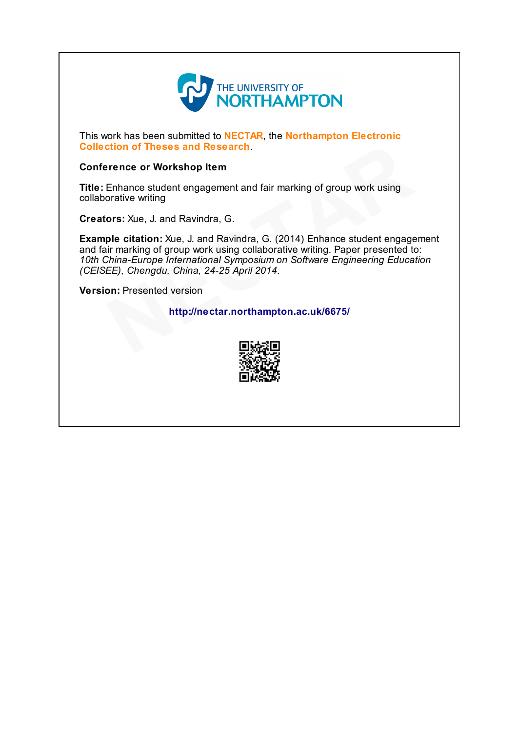

This work has been submitted to NECTAR, the Northampton Electronic Collection of Theses and Research.

## Conference or Workshop Item

Title: Enhance student engagement and fair marking of group work using collaborative writing

Creators: Xue, J. and Ravindra, G.

Example citation: Xue, J. and Ravindra, G. (2014) Enhance student engagement and fair marking of group work using collaborative writing. Paper presented to: 10th China-Europe International Symposium on Software Engineering Education (CEISEE), Chengdu, China, 24-25 April 2014. **Continuo of Theses and Research.**<br>
Fernice or Workshop Item<br>
Enhance student engagement and fair marking of group work using<br>
ors: Xue, J. and Ravindra, G.<br>
ple citation: Xue, J. and Ravindra, G. (2014) Enhance student e

Version: Presented version

http://nectar.northampton.ac.uk/6675/

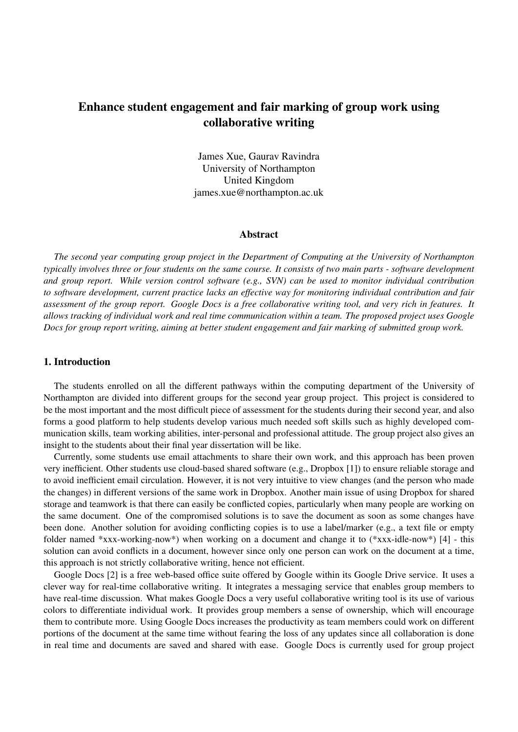# Enhance student engagement and fair marking of group work using collaborative writing

James Xue, Gaurav Ravindra University of Northampton United Kingdom james.xue@northampton.ac.uk

#### Abstract

*The second year computing group project in the Department of Computing at the University of Northampton typically involves three or four students on the same course. It consists of two main parts - software development and group report. While version control software (e.g., SVN) can be used to monitor individual contribution to software development, current practice lacks an effective way for monitoring individual contribution and fair assessment of the group report. Google Docs is a free collaborative writing tool, and very rich in features. It allows tracking of individual work and real time communication within a team. The proposed project uses Google Docs for group report writing, aiming at better student engagement and fair marking of submitted group work.*

#### 1. Introduction

The students enrolled on all the different pathways within the computing department of the University of Northampton are divided into different groups for the second year group project. This project is considered to be the most important and the most difficult piece of assessment for the students during their second year, and also forms a good platform to help students develop various much needed soft skills such as highly developed communication skills, team working abilities, inter-personal and professional attitude. The group project also gives an insight to the students about their final year dissertation will be like.

Currently, some students use email attachments to share their own work, and this approach has been proven very inefficient. Other students use cloud-based shared software (e.g., Dropbox [1]) to ensure reliable storage and to avoid inefficient email circulation. However, it is not very intuitive to view changes (and the person who made the changes) in different versions of the same work in Dropbox. Another main issue of using Dropbox for shared storage and teamwork is that there can easily be conflicted copies, particularly when many people are working on the same document. One of the compromised solutions is to save the document as soon as some changes have been done. Another solution for avoiding conflicting copies is to use a label/marker (e.g., a text file or empty folder named \*xxx-working-now\*) when working on a document and change it to (\*xxx-idle-now\*) [4] - this solution can avoid conflicts in a document, however since only one person can work on the document at a time, this approach is not strictly collaborative writing, hence not efficient.

Google Docs [2] is a free web-based office suite offered by Google within its Google Drive service. It uses a clever way for real-time collaborative writing. It integrates a messaging service that enables group members to have real-time discussion. What makes Google Docs a very useful collaborative writing tool is its use of various colors to differentiate individual work. It provides group members a sense of ownership, which will encourage them to contribute more. Using Google Docs increases the productivity as team members could work on different portions of the document at the same time without fearing the loss of any updates since all collaboration is done in real time and documents are saved and shared with ease. Google Docs is currently used for group project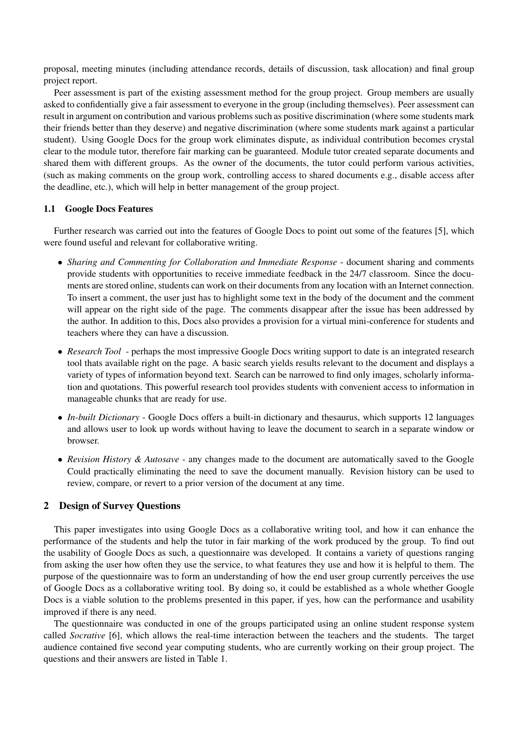proposal, meeting minutes (including attendance records, details of discussion, task allocation) and final group project report.

Peer assessment is part of the existing assessment method for the group project. Group members are usually asked to confidentially give a fair assessment to everyone in the group (including themselves). Peer assessment can result in argument on contribution and various problems such as positive discrimination (where some students mark their friends better than they deserve) and negative discrimination (where some students mark against a particular student). Using Google Docs for the group work eliminates dispute, as individual contribution becomes crystal clear to the module tutor, therefore fair marking can be guaranteed. Module tutor created separate documents and shared them with different groups. As the owner of the documents, the tutor could perform various activities, (such as making comments on the group work, controlling access to shared documents e.g., disable access after the deadline, etc.), which will help in better management of the group project.

#### 1.1 Google Docs Features

Further research was carried out into the features of Google Docs to point out some of the features [5], which were found useful and relevant for collaborative writing.

- *Sharing and Commenting for Collaboration and Immediate Response* document sharing and comments provide students with opportunities to receive immediate feedback in the 24/7 classroom. Since the documents are stored online, students can work on their documents from any location with an Internet connection. To insert a comment, the user just has to highlight some text in the body of the document and the comment will appear on the right side of the page. The comments disappear after the issue has been addressed by the author. In addition to this, Docs also provides a provision for a virtual mini-conference for students and teachers where they can have a discussion.
- *Research Tool* perhaps the most impressive Google Docs writing support to date is an integrated research tool thats available right on the page. A basic search yields results relevant to the document and displays a variety of types of information beyond text. Search can be narrowed to find only images, scholarly information and quotations. This powerful research tool provides students with convenient access to information in manageable chunks that are ready for use.
- *In-built Dictionary* Google Docs offers a built-in dictionary and thesaurus, which supports 12 languages and allows user to look up words without having to leave the document to search in a separate window or browser.
- *Revision History & Autosave* any changes made to the document are automatically saved to the Google Could practically eliminating the need to save the document manually. Revision history can be used to review, compare, or revert to a prior version of the document at any time.

### 2 Design of Survey Questions

This paper investigates into using Google Docs as a collaborative writing tool, and how it can enhance the performance of the students and help the tutor in fair marking of the work produced by the group. To find out the usability of Google Docs as such, a questionnaire was developed. It contains a variety of questions ranging from asking the user how often they use the service, to what features they use and how it is helpful to them. The purpose of the questionnaire was to form an understanding of how the end user group currently perceives the use of Google Docs as a collaborative writing tool. By doing so, it could be established as a whole whether Google Docs is a viable solution to the problems presented in this paper, if yes, how can the performance and usability improved if there is any need.

The questionnaire was conducted in one of the groups participated using an online student response system called *Socrative* [6], which allows the real-time interaction between the teachers and the students. The target audience contained five second year computing students, who are currently working on their group project. The questions and their answers are listed in Table 1.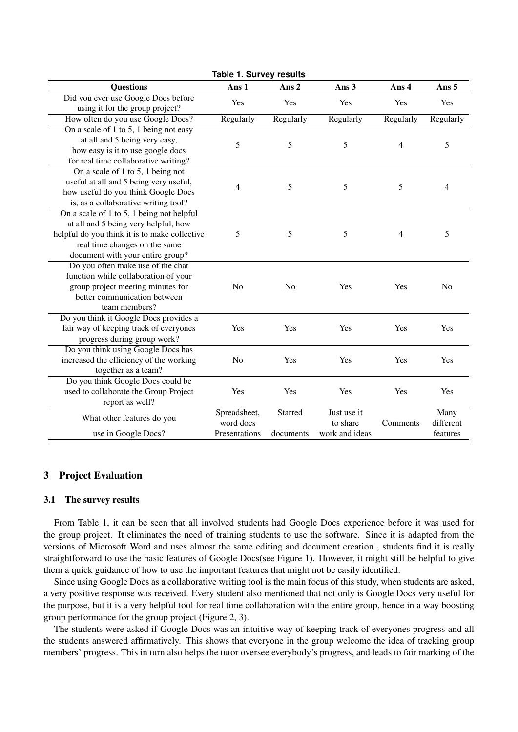| iavic I. Jul VCY ICSUILS                                               |                |                |                |                |                |  |  |  |  |  |
|------------------------------------------------------------------------|----------------|----------------|----------------|----------------|----------------|--|--|--|--|--|
| <b>Questions</b>                                                       | Ans 1          | Ans $2$        | Ans $3$        | Ans 4          | Ans 5          |  |  |  |  |  |
| Did you ever use Google Docs before<br>using it for the group project? | Yes            | Yes            | Yes            | Yes            | Yes            |  |  |  |  |  |
| How often do you use Google Docs?                                      | Regularly      | Regularly      | Regularly      | Regularly      | Regularly      |  |  |  |  |  |
| On a scale of 1 to 5, 1 being not easy                                 |                | 5              | 5              | $\overline{4}$ | 5              |  |  |  |  |  |
| at all and 5 being very easy,                                          |                |                |                |                |                |  |  |  |  |  |
| how easy is it to use google docs                                      | 5              |                |                |                |                |  |  |  |  |  |
| for real time collaborative writing?                                   |                |                |                |                |                |  |  |  |  |  |
| On a scale of 1 to 5, 1 being not                                      |                |                |                |                |                |  |  |  |  |  |
| useful at all and 5 being very useful,                                 |                |                | 5<br>5         | 5              | 4              |  |  |  |  |  |
| how useful do you think Google Docs                                    | $\overline{4}$ |                |                |                |                |  |  |  |  |  |
| is, as a collaborative writing tool?                                   |                |                |                |                |                |  |  |  |  |  |
| On a scale of 1 to 5, 1 being not helpful                              |                |                |                |                |                |  |  |  |  |  |
| at all and 5 being very helpful, how                                   |                |                |                |                |                |  |  |  |  |  |
| helpful do you think it is to make collective                          | 5              | 5              | 5              | $\overline{4}$ | 5              |  |  |  |  |  |
| real time changes on the same                                          |                |                |                |                |                |  |  |  |  |  |
| document with your entire group?                                       |                |                |                |                |                |  |  |  |  |  |
| Do you often make use of the chat                                      |                |                |                |                |                |  |  |  |  |  |
| function while collaboration of your                                   | N <sub>o</sub> | N <sub>o</sub> | Yes            | Yes            | N <sub>o</sub> |  |  |  |  |  |
| group project meeting minutes for                                      |                |                |                |                |                |  |  |  |  |  |
| better communication between                                           |                |                |                |                |                |  |  |  |  |  |
| team members?                                                          |                |                |                |                |                |  |  |  |  |  |
| Do you think it Google Docs provides a                                 |                |                |                |                |                |  |  |  |  |  |
| fair way of keeping track of everyones                                 | Yes            | Yes            | Yes            | Yes            | Yes            |  |  |  |  |  |
| progress during group work?                                            |                |                |                |                |                |  |  |  |  |  |
| Do you think using Google Docs has                                     |                |                |                |                |                |  |  |  |  |  |
| increased the efficiency of the working                                | N <sub>0</sub> | Yes            | Yes            | Yes            | Yes            |  |  |  |  |  |
| together as a team?                                                    |                |                |                |                |                |  |  |  |  |  |
| Do you think Google Docs could be                                      |                |                |                |                |                |  |  |  |  |  |
| used to collaborate the Group Project                                  | Yes            | Yes            | Yes            | Yes            | Yes            |  |  |  |  |  |
| report as well?                                                        |                |                |                |                |                |  |  |  |  |  |
| What other features do you                                             | Spreadsheet,   | Starred        | Just use it    |                | Many           |  |  |  |  |  |
|                                                                        | word docs      |                | to share       | Comments       | different      |  |  |  |  |  |
| use in Google Docs?                                                    | Presentations  | documents      | work and ideas |                | features       |  |  |  |  |  |

**Table 1. Survey results**

#### 3 Project Evaluation

#### 3.1 The survey results

From Table 1, it can be seen that all involved students had Google Docs experience before it was used for the group project. It eliminates the need of training students to use the software. Since it is adapted from the versions of Microsoft Word and uses almost the same editing and document creation , students find it is really straightforward to use the basic features of Google Docs(see Figure 1). However, it might still be helpful to give them a quick guidance of how to use the important features that might not be easily identified.

Since using Google Docs as a collaborative writing tool is the main focus of this study, when students are asked, a very positive response was received. Every student also mentioned that not only is Google Docs very useful for the purpose, but it is a very helpful tool for real time collaboration with the entire group, hence in a way boosting group performance for the group project (Figure 2, 3).

The students were asked if Google Docs was an intuitive way of keeping track of everyones progress and all the students answered affirmatively. This shows that everyone in the group welcome the idea of tracking group members' progress. This in turn also helps the tutor oversee everybody's progress, and leads to fair marking of the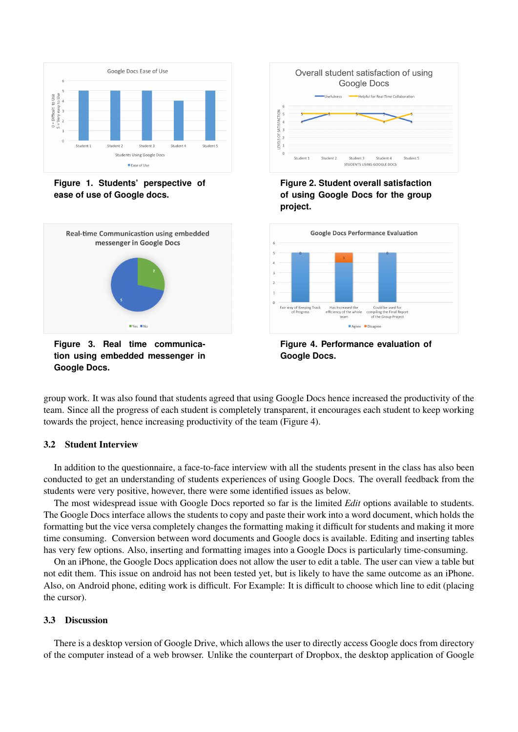

**Figure 1. Students' perspective of ease of use of Google docs.**



**Figure 3. Real time communication using embedded messenger in Google Docs.**

|                                  |           |             | Google Docs |                                         | Overall student satisfaction of using |  |
|----------------------------------|-----------|-------------|-------------|-----------------------------------------|---------------------------------------|--|
|                                  |           | ·Usefulness |             | Helpful for Real Time Collaboration     |                                       |  |
| 6<br>LEVELS OF SATISFACTION<br>5 |           |             |             |                                         |                                       |  |
| $\Omega$                         | Student 1 | Student 2   | Student 3   | Student 4<br>STUDENTS USING GOOGLE DOCS | Student 5                             |  |

**Figure 2. Student overall satisfaction of using Google Docs for the group project.**



**Figure 4. Performance evaluation of Google Docs.**

group work. It was also found that students agreed that using Google Docs hence increased the productivity of the team. Since all the progress of each student is completely transparent, it encourages each student to keep working towards the project, hence increasing productivity of the team (Figure 4).

### 3.2 Student Interview

In addition to the questionnaire, a face-to-face interview with all the students present in the class has also been conducted to get an understanding of students experiences of using Google Docs. The overall feedback from the students were very positive, however, there were some identified issues as below.

The most widespread issue with Google Docs reported so far is the limited *Edit* options available to students. The Google Docs interface allows the students to copy and paste their work into a word document, which holds the formatting but the vice versa completely changes the formatting making it difficult for students and making it more time consuming. Conversion between word documents and Google docs is available. Editing and inserting tables has very few options. Also, inserting and formatting images into a Google Docs is particularly time-consuming.

On an iPhone, the Google Docs application does not allow the user to edit a table. The user can view a table but not edit them. This issue on android has not been tested yet, but is likely to have the same outcome as an iPhone. Also, on Android phone, editing work is difficult. For Example: It is difficult to choose which line to edit (placing the cursor).

#### 3.3 Discussion

There is a desktop version of Google Drive, which allows the user to directly access Google docs from directory of the computer instead of a web browser. Unlike the counterpart of Dropbox, the desktop application of Google